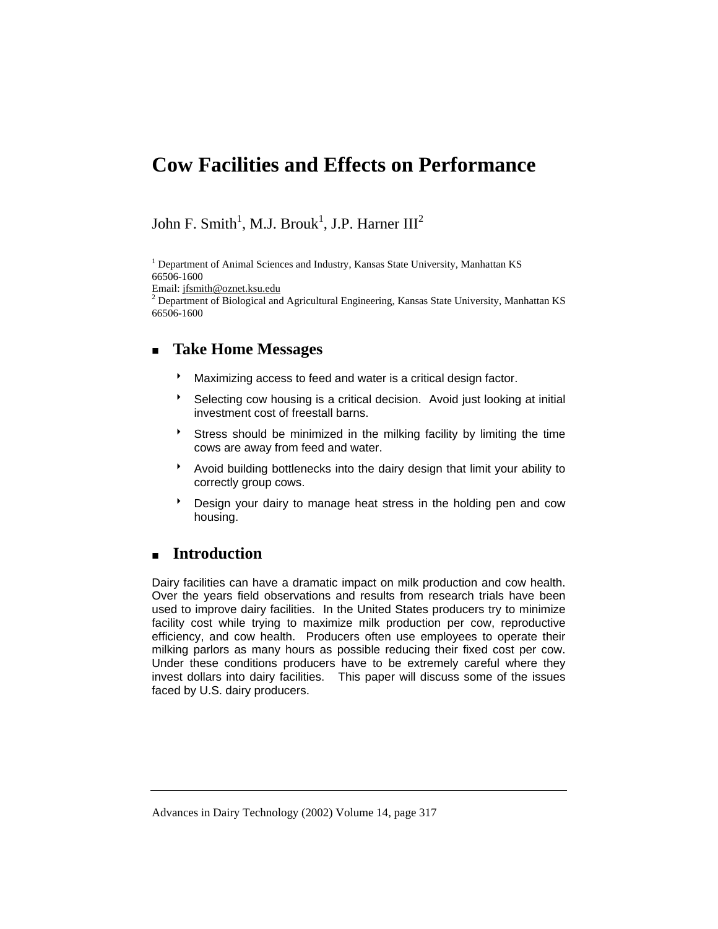# **Cow Facilities and Effects on Performance**

## John F. Smith<sup>1</sup>, M.J. Brouk<sup>1</sup>, J.P. Harner III<sup>2</sup>

<sup>1</sup> Department of Animal Sciences and Industry, Kansas State University, Manhattan KS 66506-1600

Email: jfsmith@oznet.ksu.edu

 $2$  Department of Biological and Agricultural Engineering, Kansas State University, Manhattan KS 66506-1600

### **Take Home Messages**

- **Maximizing access to feed and water is a critical design factor.**
- <sup>8</sup> Selecting cow housing is a critical decision. Avoid just looking at initial investment cost of freestall barns.
- Stress should be minimized in the milking facility by limiting the time cows are away from feed and water.
- \* Avoid building bottlenecks into the dairy design that limit your ability to correctly group cows.
- **b** Design your dairy to manage heat stress in the holding pen and cow housing.

### **Introduction**

Dairy facilities can have a dramatic impact on milk production and cow health. Over the years field observations and results from research trials have been used to improve dairy facilities. In the United States producers try to minimize facility cost while trying to maximize milk production per cow, reproductive efficiency, and cow health. Producers often use employees to operate their milking parlors as many hours as possible reducing their fixed cost per cow. Under these conditions producers have to be extremely careful where they invest dollars into dairy facilities. This paper will discuss some of the issues faced by U.S. dairy producers.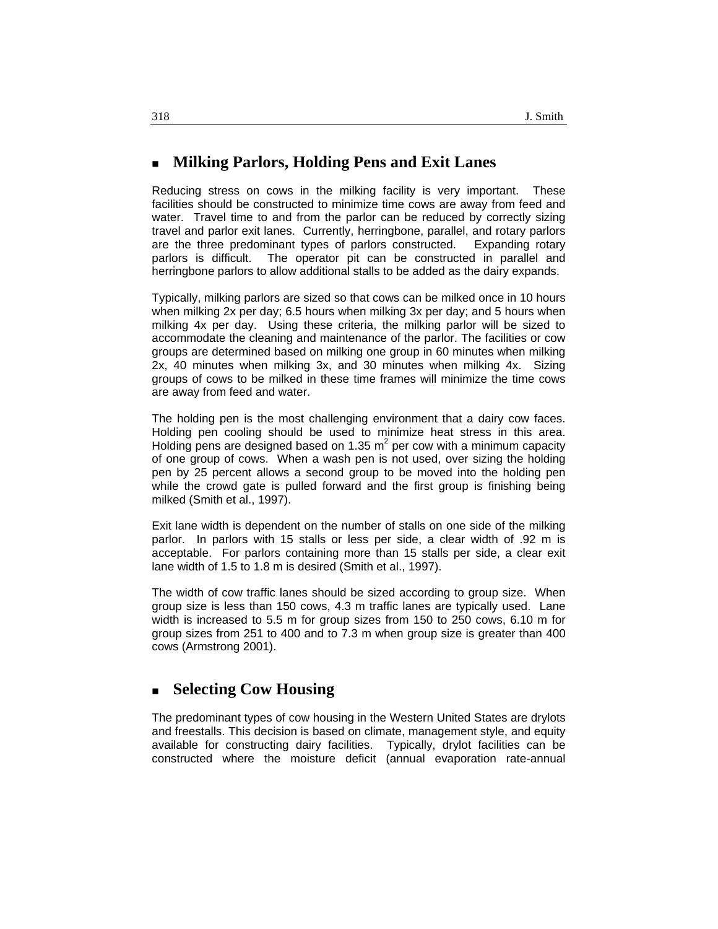#### **Milking Parlors, Holding Pens and Exit Lanes**

Reducing stress on cows in the milking facility is very important. These facilities should be constructed to minimize time cows are away from feed and water. Travel time to and from the parlor can be reduced by correctly sizing travel and parlor exit lanes. Currently, herringbone, parallel, and rotary parlors are the three predominant types of parlors constructed. Expanding rotary parlors is difficult. The operator pit can be constructed in parallel and herringbone parlors to allow additional stalls to be added as the dairy expands.

Typically, milking parlors are sized so that cows can be milked once in 10 hours when milking 2x per day; 6.5 hours when milking 3x per day; and 5 hours when milking 4x per day. Using these criteria, the milking parlor will be sized to accommodate the cleaning and maintenance of the parlor. The facilities or cow groups are determined based on milking one group in 60 minutes when milking 2x, 40 minutes when milking 3x, and 30 minutes when milking 4x. Sizing groups of cows to be milked in these time frames will minimize the time cows are away from feed and water.

The holding pen is the most challenging environment that a dairy cow faces. Holding pen cooling should be used to minimize heat stress in this area. Holding pens are designed based on 1.35  $m^2$  per cow with a minimum capacity of one group of cows. When a wash pen is not used, over sizing the holding pen by 25 percent allows a second group to be moved into the holding pen while the crowd gate is pulled forward and the first group is finishing being milked (Smith et al., 1997).

Exit lane width is dependent on the number of stalls on one side of the milking parlor. In parlors with 15 stalls or less per side, a clear width of .92 m is acceptable. For parlors containing more than 15 stalls per side, a clear exit lane width of 1.5 to 1.8 m is desired (Smith et al., 1997).

The width of cow traffic lanes should be sized according to group size. When group size is less than 150 cows, 4.3 m traffic lanes are typically used. Lane width is increased to 5.5 m for group sizes from 150 to 250 cows, 6.10 m for group sizes from 251 to 400 and to 7.3 m when group size is greater than 400 cows (Armstrong 2001).

### **Selecting Cow Housing**

The predominant types of cow housing in the Western United States are drylots and freestalls. This decision is based on climate, management style, and equity available for constructing dairy facilities. Typically, drylot facilities can be constructed where the moisture deficit (annual evaporation rate-annual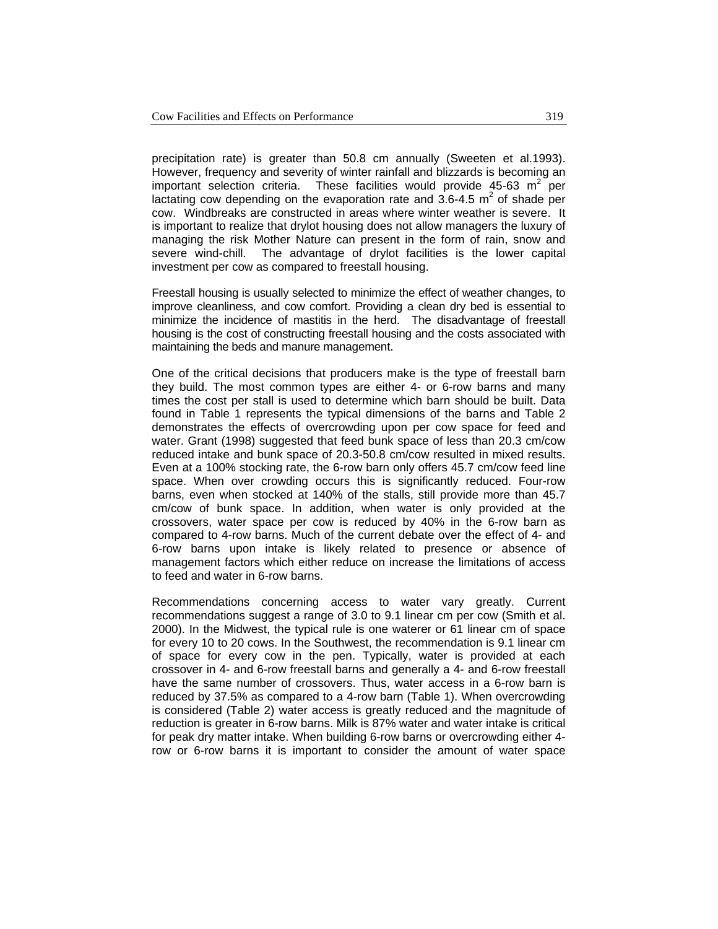precipitation rate) is greater than 50.8 cm annually (Sweeten et al.1993). However, frequency and severity of winter rainfall and blizzards is becoming an important selection criteria. These facilities would provide 45-63  $m^2$  per lactating cow depending on the evaporation rate and  $3.6$ -4.5 m<sup>2</sup> of shade per cow. Windbreaks are constructed in areas where winter weather is severe. It is important to realize that drylot housing does not allow managers the luxury of managing the risk Mother Nature can present in the form of rain, snow and severe wind-chill. The advantage of drylot facilities is the lower capital investment per cow as compared to freestall housing.

Freestall housing is usually selected to minimize the effect of weather changes, to improve cleanliness, and cow comfort. Providing a clean dry bed is essential to minimize the incidence of mastitis in the herd. The disadvantage of freestall housing is the cost of constructing freestall housing and the costs associated with maintaining the beds and manure management.

One of the critical decisions that producers make is the type of freestall barn they build. The most common types are either 4- or 6-row barns and many times the cost per stall is used to determine which barn should be built. Data found in Table 1 represents the typical dimensions of the barns and Table 2 demonstrates the effects of overcrowding upon per cow space for feed and water. Grant (1998) suggested that feed bunk space of less than 20.3 cm/cow reduced intake and bunk space of 20.3-50.8 cm/cow resulted in mixed results. Even at a 100% stocking rate, the 6-row barn only offers 45.7 cm/cow feed line space. When over crowding occurs this is significantly reduced. Four-row barns, even when stocked at 140% of the stalls, still provide more than 45.7 cm/cow of bunk space. In addition, when water is only provided at the crossovers, water space per cow is reduced by 40% in the 6-row barn as compared to 4-row barns. Much of the current debate over the effect of 4- and 6-row barns upon intake is likely related to presence or absence of management factors which either reduce on increase the limitations of access to feed and water in 6-row barns.

Recommendations concerning access to water vary greatly. Current recommendations suggest a range of 3.0 to 9.1 linear cm per cow (Smith et al. 2000). In the Midwest, the typical rule is one waterer or 61 linear cm of space for every 10 to 20 cows. In the Southwest, the recommendation is 9.1 linear cm of space for every cow in the pen. Typically, water is provided at each crossover in 4- and 6-row freestall barns and generally a 4- and 6-row freestall have the same number of crossovers. Thus, water access in a 6-row barn is reduced by 37.5% as compared to a 4-row barn (Table 1). When overcrowding is considered (Table 2) water access is greatly reduced and the magnitude of reduction is greater in 6-row barns. Milk is 87% water and water intake is critical for peak dry matter intake. When building 6-row barns or overcrowding either 4 row or 6-row barns it is important to consider the amount of water space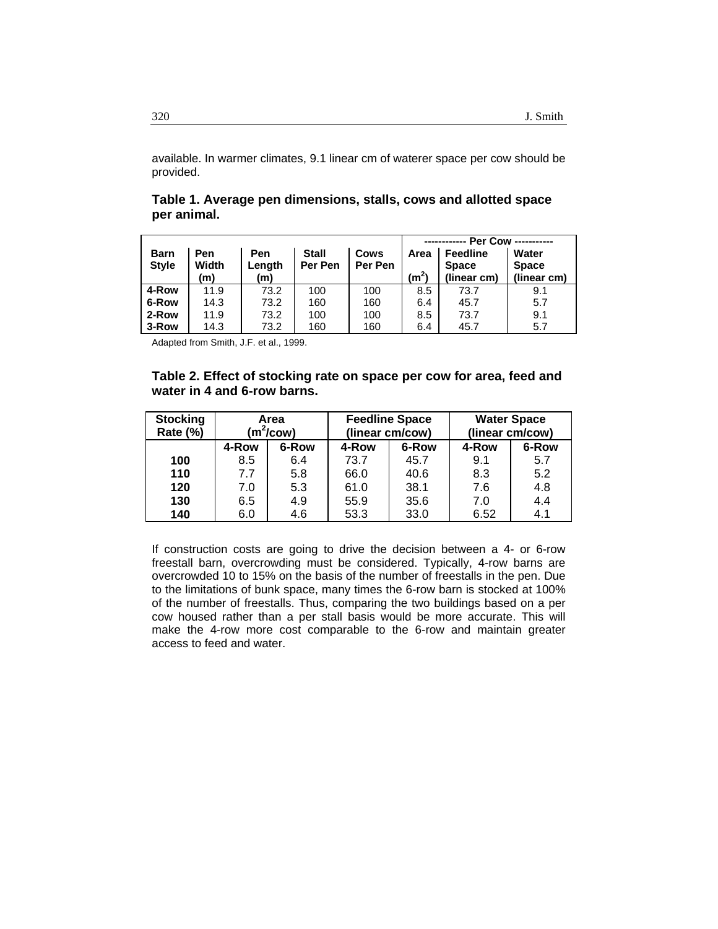available. In warmer climates, 9.1 linear cm of waterer space per cow should be provided.

| Table 1. Average pen dimensions, stalls, cows and allotted space |  |  |  |
|------------------------------------------------------------------|--|--|--|
| per animal.                                                      |  |  |  |

|                             |                     |                      |                         |                 | Per Cow -----------       |                                                |                                      |
|-----------------------------|---------------------|----------------------|-------------------------|-----------------|---------------------------|------------------------------------------------|--------------------------------------|
| <b>Barn</b><br><b>Style</b> | Pen<br>Width<br>(m) | Pen<br>Length<br>(m) | <b>Stall</b><br>Per Pen | Cows<br>Per Pen | Area<br>(m <sup>2</sup> ) | <b>Feedline</b><br><b>Space</b><br>(linear cm) | Water<br><b>Space</b><br>(linear cm) |
| 4-Row                       | 11.9                | 73.2                 | 100                     | 100             | 8.5                       | 73.7                                           | 9.1                                  |
| 6-Row                       | 14.3                | 73.2                 | 160                     | 160             | 6.4                       | 45.7                                           | 5.7                                  |
| 2-Row                       | 11.9                | 73.2                 | 100                     | 100             | 8.5                       | 73.7                                           | 9.1                                  |
| 3-Row                       | 14.3                | 73.2                 | 160                     | 160             | 6.4                       | 45.7                                           | 5.7                                  |

Adapted from Smith, J.F. et al., 1999.

#### **Table 2. Effect of stocking rate on space per cow for area, feed and water in 4 and 6-row barns.**

| <b>Stocking</b><br>Rate (%) | Area<br>$(m^2/cow)$ |       | <b>Feedline Space</b><br>(linear cm/cow) |       | <b>Water Space</b><br>(linear cm/cow) |       |
|-----------------------------|---------------------|-------|------------------------------------------|-------|---------------------------------------|-------|
|                             | 4-Row               | 6-Row | 4-Row                                    | 6-Row | 4-Row                                 | 6-Row |
| 100                         | 8.5                 | 6.4   | 73.7                                     | 45.7  | 9.1                                   | 5.7   |
| 110                         | 7.7                 | 5.8   | 66.0                                     | 40.6  | 8.3                                   | 5.2   |
| 120                         | 7.0                 | 5.3   | 61.0                                     | 38.1  | 7.6                                   | 4.8   |
| 130                         | 6.5                 | 4.9   | 55.9                                     | 35.6  | 7.0                                   | 4.4   |
| 140                         | 6.0                 | 4.6   | 53.3                                     | 33.0  | 6.52                                  | 4.1   |

If construction costs are going to drive the decision between a 4- or 6-row freestall barn, overcrowding must be considered. Typically, 4-row barns are overcrowded 10 to 15% on the basis of the number of freestalls in the pen. Due to the limitations of bunk space, many times the 6-row barn is stocked at 100% of the number of freestalls. Thus, comparing the two buildings based on a per cow housed rather than a per stall basis would be more accurate. This will make the 4-row more cost comparable to the 6-row and maintain greater access to feed and water.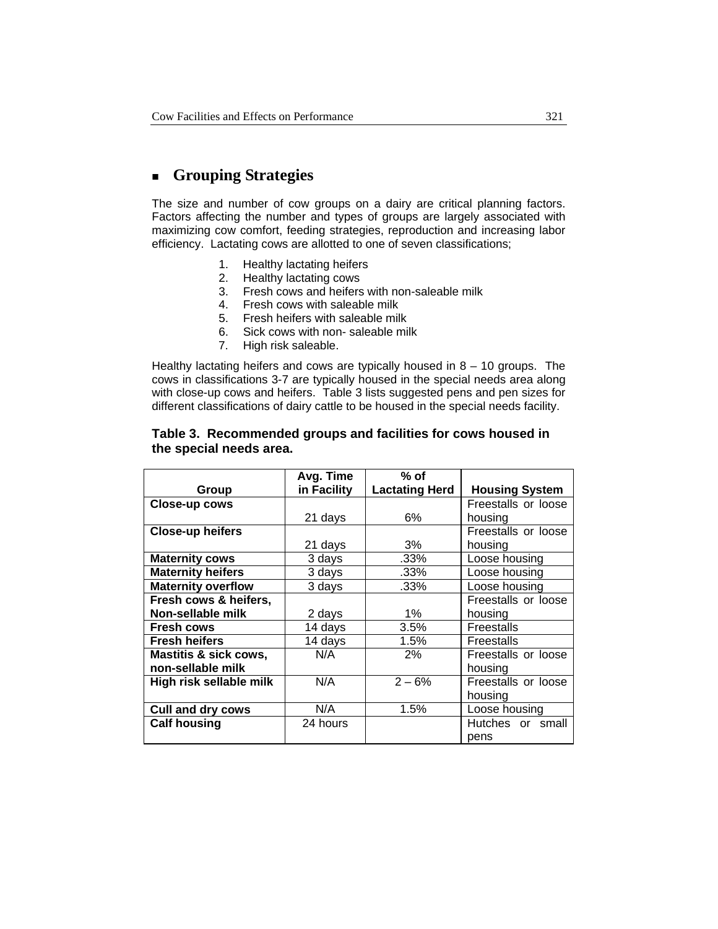## **Grouping Strategies**

The size and number of cow groups on a dairy are critical planning factors. Factors affecting the number and types of groups are largely associated with maximizing cow comfort, feeding strategies, reproduction and increasing labor efficiency. Lactating cows are allotted to one of seven classifications;

- 1. Healthy lactating heifers
- 2. Healthy lactating cows<br>3. Fresh cows and heifers
- Fresh cows and heifers with non-saleable milk
- 4. Fresh cows with saleable milk
- 5. Fresh heifers with saleable milk
- 6. Sick cows with non- saleable milk
- 7. High risk saleable.

Healthy lactating heifers and cows are typically housed in  $8 - 10$  groups. The cows in classifications 3-7 are typically housed in the special needs area along with close-up cows and heifers. Table 3 lists suggested pens and pen sizes for different classifications of dairy cattle to be housed in the special needs facility.

| Table 3. Recommended groups and facilities for cows housed in |
|---------------------------------------------------------------|
| the special needs area.                                       |
|                                                               |

|                                  | Avg. Time   | $%$ of                |                       |  |
|----------------------------------|-------------|-----------------------|-----------------------|--|
| Group                            | in Facility | <b>Lactating Herd</b> | <b>Housing System</b> |  |
| Close-up cows                    |             |                       | Freestalls or loose   |  |
|                                  | 21 days     | 6%                    | housing               |  |
| <b>Close-up heifers</b>          |             |                       | Freestalls or loose   |  |
|                                  | 21 days     | 3%                    | housing               |  |
| <b>Maternity cows</b>            | 3 days      | .33%                  | Loose housing         |  |
| <b>Maternity heifers</b>         | 3 days      | .33%                  | Loose housing         |  |
| <b>Maternity overflow</b>        | 3 days      | $.33\%$               | Loose housing         |  |
| Fresh cows & heifers,            |             |                       | Freestalls or loose   |  |
| Non-sellable milk                | 2 days      | $1\%$                 | housing               |  |
| Fresh cows                       | 14 days     | 3.5%                  | <b>Freestalls</b>     |  |
| <b>Fresh heifers</b>             | 14 days     | 1.5%                  | Freestalls            |  |
| <b>Mastitis &amp; sick cows,</b> | N/A         | 2%                    | Freestalls or loose   |  |
| non-sellable milk                |             |                       | housing               |  |
| High risk sellable milk          | N/A         | $2 - 6%$              | Freestalls or loose   |  |
|                                  |             |                       | housing               |  |
| <b>Cull and dry cows</b>         | N/A         | 1.5%                  | Loose housing         |  |
| <b>Calf housing</b>              | 24 hours    |                       | Hutches or small      |  |
|                                  |             |                       | pens                  |  |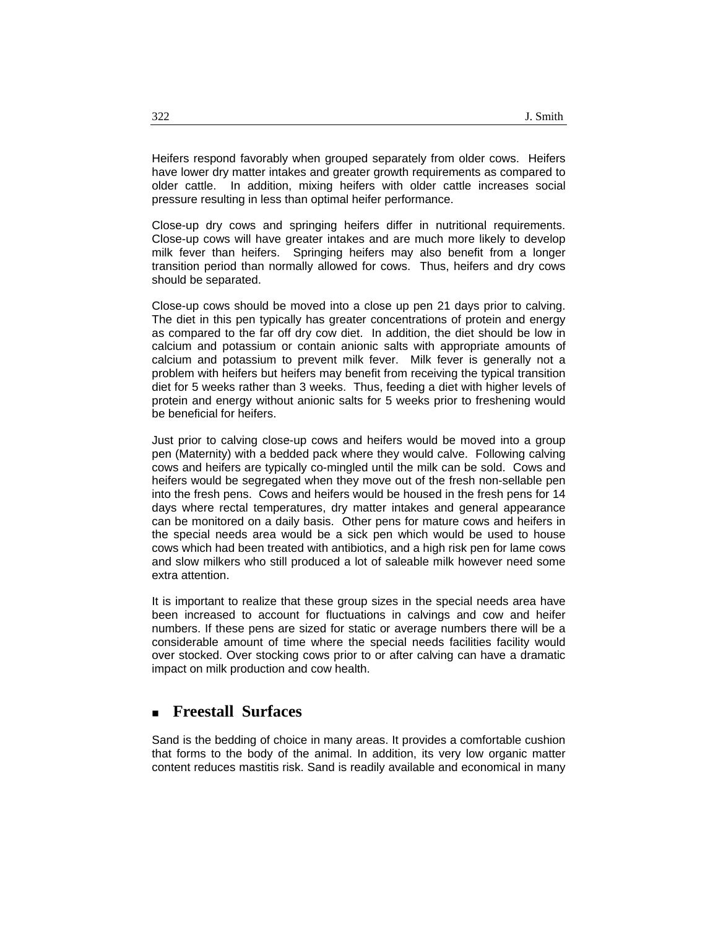Heifers respond favorably when grouped separately from older cows. Heifers have lower dry matter intakes and greater growth requirements as compared to older cattle. In addition, mixing heifers with older cattle increases social pressure resulting in less than optimal heifer performance.

Close-up dry cows and springing heifers differ in nutritional requirements. Close-up cows will have greater intakes and are much more likely to develop milk fever than heifers. Springing heifers may also benefit from a longer transition period than normally allowed for cows. Thus, heifers and dry cows should be separated.

Close-up cows should be moved into a close up pen 21 days prior to calving. The diet in this pen typically has greater concentrations of protein and energy as compared to the far off dry cow diet. In addition, the diet should be low in calcium and potassium or contain anionic salts with appropriate amounts of calcium and potassium to prevent milk fever. Milk fever is generally not a problem with heifers but heifers may benefit from receiving the typical transition diet for 5 weeks rather than 3 weeks. Thus, feeding a diet with higher levels of protein and energy without anionic salts for 5 weeks prior to freshening would be beneficial for heifers.

Just prior to calving close-up cows and heifers would be moved into a group pen (Maternity) with a bedded pack where they would calve. Following calving cows and heifers are typically co-mingled until the milk can be sold. Cows and heifers would be segregated when they move out of the fresh non-sellable pen into the fresh pens. Cows and heifers would be housed in the fresh pens for 14 days where rectal temperatures, dry matter intakes and general appearance can be monitored on a daily basis. Other pens for mature cows and heifers in the special needs area would be a sick pen which would be used to house cows which had been treated with antibiotics, and a high risk pen for lame cows and slow milkers who still produced a lot of saleable milk however need some extra attention.

It is important to realize that these group sizes in the special needs area have been increased to account for fluctuations in calvings and cow and heifer numbers. If these pens are sized for static or average numbers there will be a considerable amount of time where the special needs facilities facility would over stocked. Over stocking cows prior to or after calving can have a dramatic impact on milk production and cow health.

### **Freestall Surfaces**

Sand is the bedding of choice in many areas. It provides a comfortable cushion that forms to the body of the animal. In addition, its very low organic matter content reduces mastitis risk. Sand is readily available and economical in many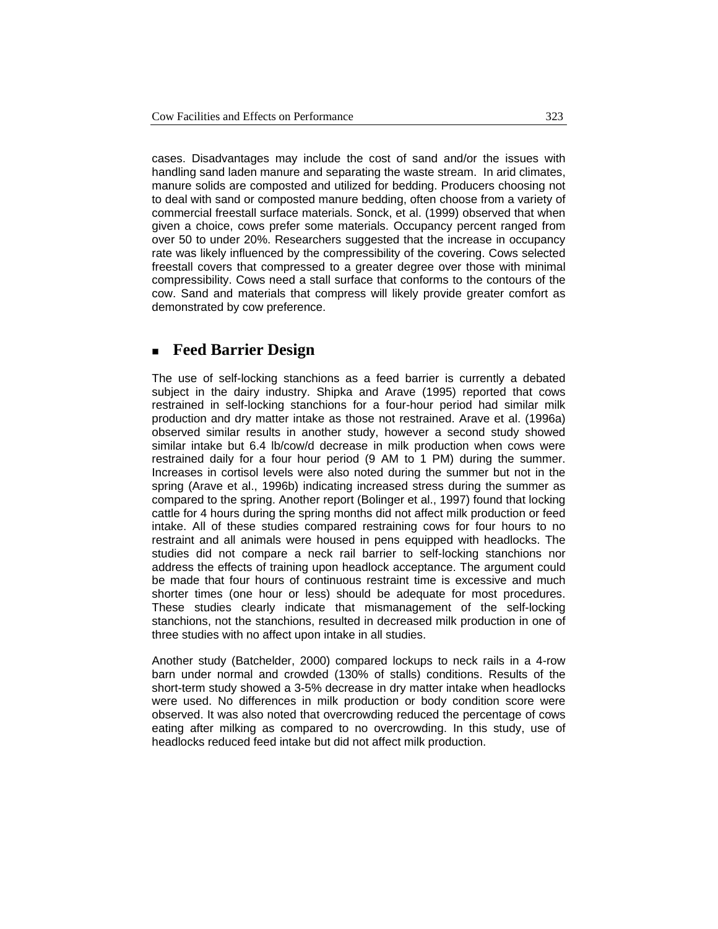cases. Disadvantages may include the cost of sand and/or the issues with handling sand laden manure and separating the waste stream. In arid climates, manure solids are composted and utilized for bedding. Producers choosing not to deal with sand or composted manure bedding, often choose from a variety of commercial freestall surface materials. Sonck, et al. (1999) observed that when given a choice, cows prefer some materials. Occupancy percent ranged from over 50 to under 20%. Researchers suggested that the increase in occupancy rate was likely influenced by the compressibility of the covering. Cows selected freestall covers that compressed to a greater degree over those with minimal compressibility. Cows need a stall surface that conforms to the contours of the cow. Sand and materials that compress will likely provide greater comfort as demonstrated by cow preference.

#### **Feed Barrier Design**

The use of self-locking stanchions as a feed barrier is currently a debated subject in the dairy industry. Shipka and Arave (1995) reported that cows restrained in self-locking stanchions for a four-hour period had similar milk production and dry matter intake as those not restrained. Arave et al. (1996a) observed similar results in another study, however a second study showed similar intake but 6.4 lb/cow/d decrease in milk production when cows were restrained daily for a four hour period (9 AM to 1 PM) during the summer. Increases in cortisol levels were also noted during the summer but not in the spring (Arave et al., 1996b) indicating increased stress during the summer as compared to the spring. Another report (Bolinger et al., 1997) found that locking cattle for 4 hours during the spring months did not affect milk production or feed intake. All of these studies compared restraining cows for four hours to no restraint and all animals were housed in pens equipped with headlocks. The studies did not compare a neck rail barrier to self-locking stanchions nor address the effects of training upon headlock acceptance. The argument could be made that four hours of continuous restraint time is excessive and much shorter times (one hour or less) should be adequate for most procedures. These studies clearly indicate that mismanagement of the self-locking stanchions, not the stanchions, resulted in decreased milk production in one of three studies with no affect upon intake in all studies.

Another study (Batchelder, 2000) compared lockups to neck rails in a 4-row barn under normal and crowded (130% of stalls) conditions. Results of the short-term study showed a 3-5% decrease in dry matter intake when headlocks were used. No differences in milk production or body condition score were observed. It was also noted that overcrowding reduced the percentage of cows eating after milking as compared to no overcrowding. In this study, use of headlocks reduced feed intake but did not affect milk production.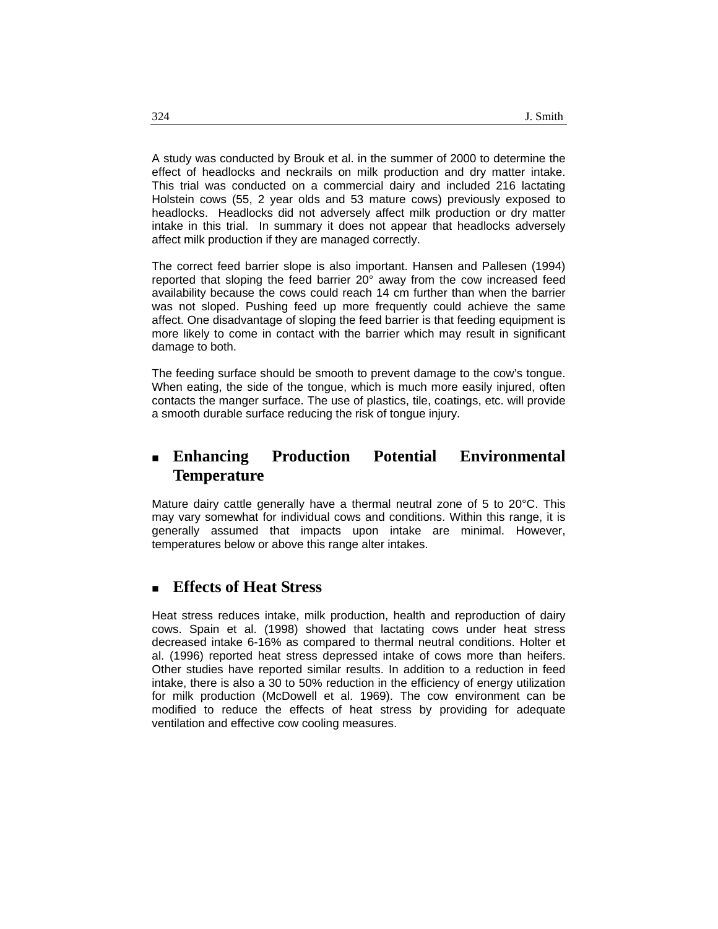A study was conducted by Brouk et al. in the summer of 2000 to determine the effect of headlocks and neckrails on milk production and dry matter intake. This trial was conducted on a commercial dairy and included 216 lactating Holstein cows (55, 2 year olds and 53 mature cows) previously exposed to headlocks. Headlocks did not adversely affect milk production or dry matter intake in this trial. In summary it does not appear that headlocks adversely affect milk production if they are managed correctly.

The correct feed barrier slope is also important. Hansen and Pallesen (1994) reported that sloping the feed barrier 20° away from the cow increased feed availability because the cows could reach 14 cm further than when the barrier was not sloped. Pushing feed up more frequently could achieve the same affect. One disadvantage of sloping the feed barrier is that feeding equipment is more likely to come in contact with the barrier which may result in significant damage to both.

The feeding surface should be smooth to prevent damage to the cow's tongue. When eating, the side of the tongue, which is much more easily injured, often contacts the manger surface. The use of plastics, tile, coatings, etc. will provide a smooth durable surface reducing the risk of tongue injury.

### **Enhancing Production Potential Environmental Temperature**

Mature dairy cattle generally have a thermal neutral zone of 5 to 20°C. This may vary somewhat for individual cows and conditions. Within this range, it is generally assumed that impacts upon intake are minimal. However, temperatures below or above this range alter intakes.

### **Effects of Heat Stress**

Heat stress reduces intake, milk production, health and reproduction of dairy cows. Spain et al. (1998) showed that lactating cows under heat stress decreased intake 6-16% as compared to thermal neutral conditions. Holter et al. (1996) reported heat stress depressed intake of cows more than heifers. Other studies have reported similar results. In addition to a reduction in feed intake, there is also a 30 to 50% reduction in the efficiency of energy utilization for milk production (McDowell et al. 1969). The cow environment can be modified to reduce the effects of heat stress by providing for adequate ventilation and effective cow cooling measures.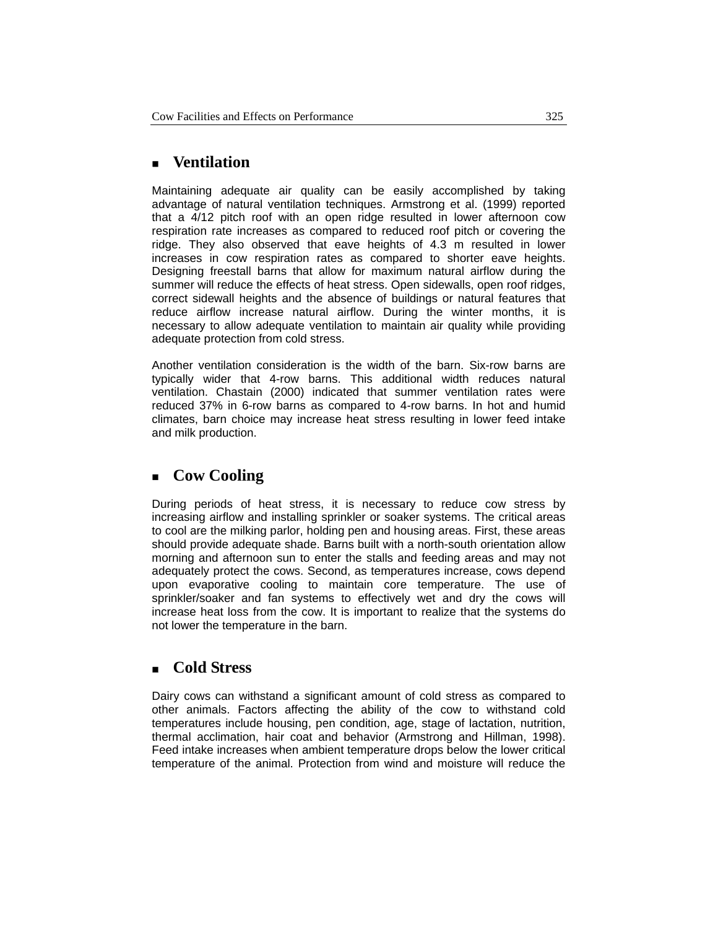### **Ventilation**

Maintaining adequate air quality can be easily accomplished by taking advantage of natural ventilation techniques. Armstrong et al. (1999) reported that a 4/12 pitch roof with an open ridge resulted in lower afternoon cow respiration rate increases as compared to reduced roof pitch or covering the ridge. They also observed that eave heights of 4.3 m resulted in lower increases in cow respiration rates as compared to shorter eave heights. Designing freestall barns that allow for maximum natural airflow during the summer will reduce the effects of heat stress. Open sidewalls, open roof ridges, correct sidewall heights and the absence of buildings or natural features that reduce airflow increase natural airflow. During the winter months, it is necessary to allow adequate ventilation to maintain air quality while providing adequate protection from cold stress.

Another ventilation consideration is the width of the barn. Six-row barns are typically wider that 4-row barns. This additional width reduces natural ventilation. Chastain (2000) indicated that summer ventilation rates were reduced 37% in 6-row barns as compared to 4-row barns. In hot and humid climates, barn choice may increase heat stress resulting in lower feed intake and milk production.

### **Cow Cooling**

During periods of heat stress, it is necessary to reduce cow stress by increasing airflow and installing sprinkler or soaker systems. The critical areas to cool are the milking parlor, holding pen and housing areas. First, these areas should provide adequate shade. Barns built with a north-south orientation allow morning and afternoon sun to enter the stalls and feeding areas and may not adequately protect the cows. Second, as temperatures increase, cows depend upon evaporative cooling to maintain core temperature. The use of sprinkler/soaker and fan systems to effectively wet and dry the cows will increase heat loss from the cow. It is important to realize that the systems do not lower the temperature in the barn.

### ■ Cold Stress

Dairy cows can withstand a significant amount of cold stress as compared to other animals. Factors affecting the ability of the cow to withstand cold temperatures include housing, pen condition, age, stage of lactation, nutrition, thermal acclimation, hair coat and behavior (Armstrong and Hillman, 1998). Feed intake increases when ambient temperature drops below the lower critical temperature of the animal. Protection from wind and moisture will reduce the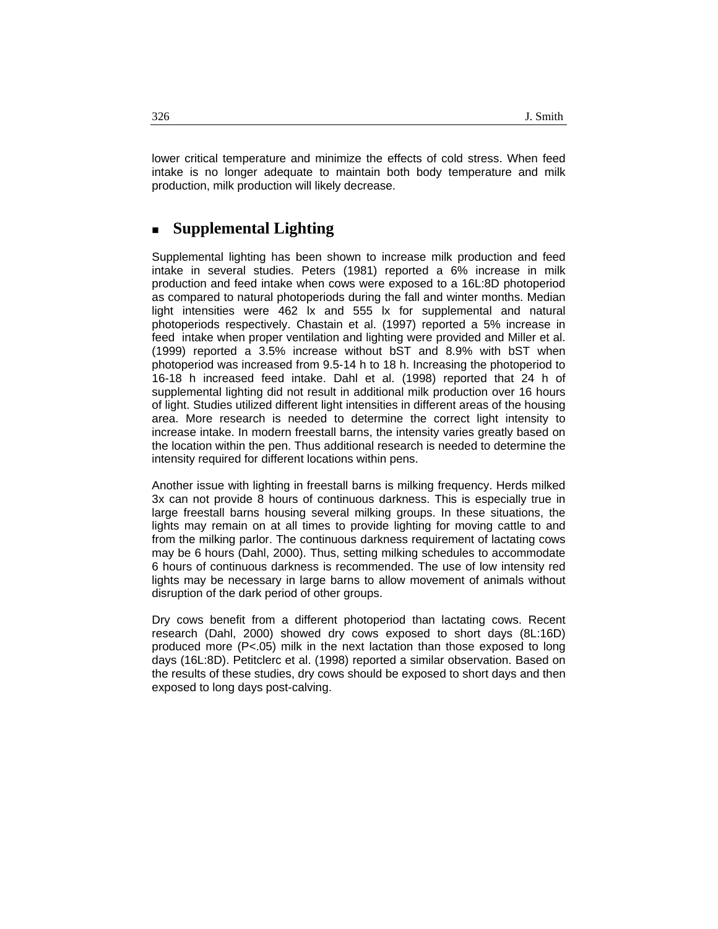lower critical temperature and minimize the effects of cold stress. When feed intake is no longer adequate to maintain both body temperature and milk production, milk production will likely decrease.

#### **Supplemental Lighting**

Supplemental lighting has been shown to increase milk production and feed intake in several studies. Peters (1981) reported a 6% increase in milk production and feed intake when cows were exposed to a 16L:8D photoperiod as compared to natural photoperiods during the fall and winter months. Median light intensities were 462 lx and 555 lx for supplemental and natural photoperiods respectively. Chastain et al. (1997) reported a 5% increase in feed intake when proper ventilation and lighting were provided and Miller et al. (1999) reported a 3.5% increase without bST and 8.9% with bST when photoperiod was increased from 9.5-14 h to 18 h. Increasing the photoperiod to 16-18 h increased feed intake. Dahl et al. (1998) reported that 24 h of supplemental lighting did not result in additional milk production over 16 hours of light. Studies utilized different light intensities in different areas of the housing area. More research is needed to determine the correct light intensity to increase intake. In modern freestall barns, the intensity varies greatly based on the location within the pen. Thus additional research is needed to determine the intensity required for different locations within pens.

Another issue with lighting in freestall barns is milking frequency. Herds milked 3x can not provide 8 hours of continuous darkness. This is especially true in large freestall barns housing several milking groups. In these situations, the lights may remain on at all times to provide lighting for moving cattle to and from the milking parlor. The continuous darkness requirement of lactating cows may be 6 hours (Dahl, 2000). Thus, setting milking schedules to accommodate 6 hours of continuous darkness is recommended. The use of low intensity red lights may be necessary in large barns to allow movement of animals without disruption of the dark period of other groups.

Dry cows benefit from a different photoperiod than lactating cows. Recent research (Dahl, 2000) showed dry cows exposed to short days (8L:16D) produced more (P<.05) milk in the next lactation than those exposed to long days (16L:8D). Petitclerc et al. (1998) reported a similar observation. Based on the results of these studies, dry cows should be exposed to short days and then exposed to long days post-calving.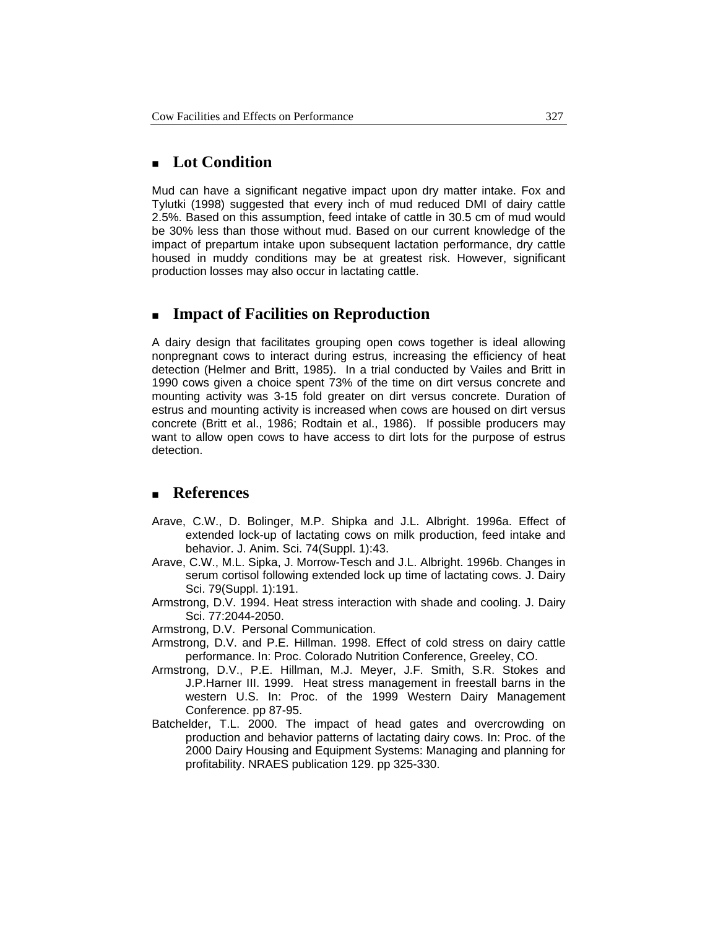#### **Lot Condition**

Mud can have a significant negative impact upon dry matter intake. Fox and Tylutki (1998) suggested that every inch of mud reduced DMI of dairy cattle 2.5%. Based on this assumption, feed intake of cattle in 30.5 cm of mud would be 30% less than those without mud. Based on our current knowledge of the impact of prepartum intake upon subsequent lactation performance, dry cattle housed in muddy conditions may be at greatest risk. However, significant production losses may also occur in lactating cattle.

#### **Impact of Facilities on Reproduction**

A dairy design that facilitates grouping open cows together is ideal allowing nonpregnant cows to interact during estrus, increasing the efficiency of heat detection (Helmer and Britt, 1985). In a trial conducted by Vailes and Britt in 1990 cows given a choice spent 73% of the time on dirt versus concrete and mounting activity was 3-15 fold greater on dirt versus concrete. Duration of estrus and mounting activity is increased when cows are housed on dirt versus concrete (Britt et al., 1986; Rodtain et al., 1986). If possible producers may want to allow open cows to have access to dirt lots for the purpose of estrus detection.

### **References**

- Arave, C.W., D. Bolinger, M.P. Shipka and J.L. Albright. 1996a. Effect of extended lock-up of lactating cows on milk production, feed intake and behavior. J. Anim. Sci. 74(Suppl. 1):43.
- Arave, C.W., M.L. Sipka, J. Morrow-Tesch and J.L. Albright. 1996b. Changes in serum cortisol following extended lock up time of lactating cows. J. Dairy Sci. 79(Suppl. 1):191.
- Armstrong, D.V. 1994. Heat stress interaction with shade and cooling. J. Dairy Sci. 77:2044-2050.
- Armstrong, D.V. Personal Communication.
- Armstrong, D.V. and P.E. Hillman. 1998. Effect of cold stress on dairy cattle performance. In: Proc. Colorado Nutrition Conference, Greeley, CO.
- Armstrong, D.V., P.E. Hillman, M.J. Meyer, J.F. Smith, S.R. Stokes and J.P.Harner III. 1999. Heat stress management in freestall barns in the western U.S. In: Proc. of the 1999 Western Dairy Management Conference. pp 87-95.
- Batchelder, T.L. 2000. The impact of head gates and overcrowding on production and behavior patterns of lactating dairy cows. In: Proc. of the 2000 Dairy Housing and Equipment Systems: Managing and planning for profitability. NRAES publication 129. pp 325-330.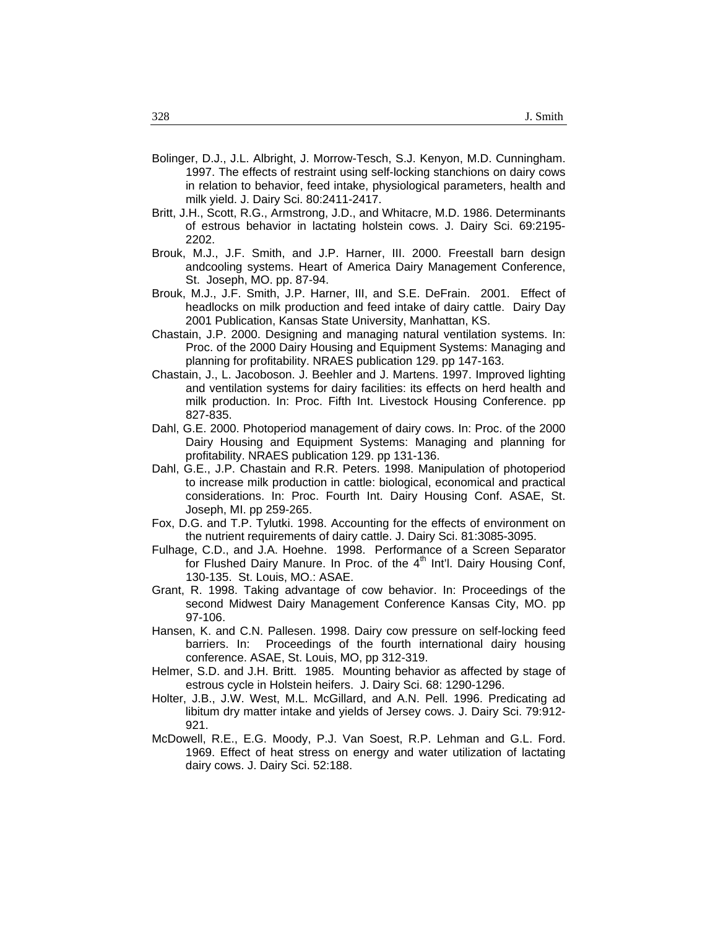- Bolinger, D.J., J.L. Albright, J. Morrow-Tesch, S.J. Kenyon, M.D. Cunningham. 1997. The effects of restraint using self-locking stanchions on dairy cows in relation to behavior, feed intake, physiological parameters, health and milk yield. J. Dairy Sci. 80:2411-2417.
- Britt, J.H., Scott, R.G., Armstrong, J.D., and Whitacre, M.D. 1986. Determinants of estrous behavior in lactating holstein cows. J. Dairy Sci. 69:2195- 2202.
- Brouk, M.J., J.F. Smith, and J.P. Harner, III. 2000. Freestall barn design andcooling systems. Heart of America Dairy Management Conference, St. Joseph, MO. pp. 87-94.
- Brouk, M.J., J.F. Smith, J.P. Harner, III, and S.E. DeFrain. 2001. Effect of headlocks on milk production and feed intake of dairy cattle. Dairy Day 2001 Publication, Kansas State University, Manhattan, KS.
- Chastain, J.P. 2000. Designing and managing natural ventilation systems. In: Proc. of the 2000 Dairy Housing and Equipment Systems: Managing and planning for profitability. NRAES publication 129. pp 147-163.
- Chastain, J., L. Jacoboson. J. Beehler and J. Martens. 1997. Improved lighting and ventilation systems for dairy facilities: its effects on herd health and milk production. In: Proc. Fifth Int. Livestock Housing Conference. pp 827-835.
- Dahl, G.E. 2000. Photoperiod management of dairy cows. In: Proc. of the 2000 Dairy Housing and Equipment Systems: Managing and planning for profitability. NRAES publication 129. pp 131-136.
- Dahl, G.E., J.P. Chastain and R.R. Peters. 1998. Manipulation of photoperiod to increase milk production in cattle: biological, economical and practical considerations. In: Proc. Fourth Int. Dairy Housing Conf. ASAE, St. Joseph, MI. pp 259-265.
- Fox, D.G. and T.P. Tylutki. 1998. Accounting for the effects of environment on the nutrient requirements of dairy cattle. J. Dairy Sci. 81:3085-3095.
- Fulhage, C.D., and J.A. Hoehne. 1998. Performance of a Screen Separator for Flushed Dairy Manure. In Proc. of the  $4<sup>th</sup>$  Int'l. Dairy Housing Conf, 130-135. St. Louis, MO.: ASAE.
- Grant, R. 1998. Taking advantage of cow behavior. In: Proceedings of the second Midwest Dairy Management Conference Kansas City, MO. pp 97-106.
- Hansen, K. and C.N. Pallesen. 1998. Dairy cow pressure on self-locking feed barriers. In: Proceedings of the fourth international dairy housing conference. ASAE, St. Louis, MO, pp 312-319.
- Helmer, S.D. and J.H. Britt. 1985. Mounting behavior as affected by stage of estrous cycle in Holstein heifers. J. Dairy Sci. 68: 1290-1296.
- Holter, J.B., J.W. West, M.L. McGillard, and A.N. Pell. 1996. Predicating ad libitum dry matter intake and yields of Jersey cows. J. Dairy Sci. 79:912- 921.
- McDowell, R.E., E.G. Moody, P.J. Van Soest, R.P. Lehman and G.L. Ford. 1969. Effect of heat stress on energy and water utilization of lactating dairy cows. J. Dairy Sci. 52:188.